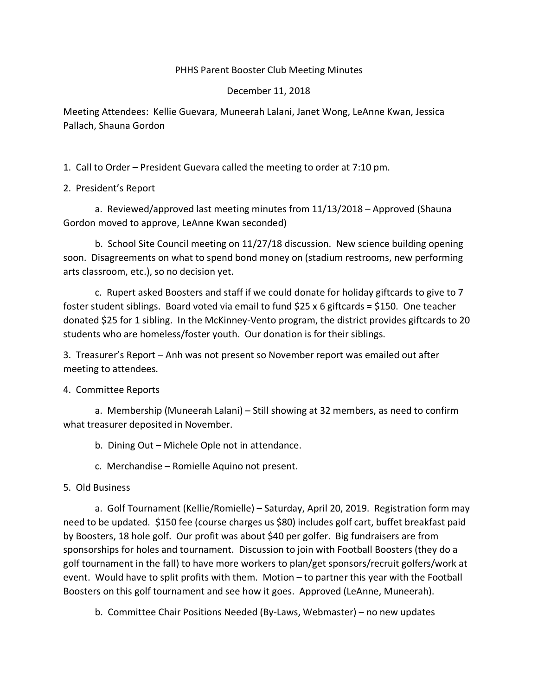## PHHS Parent Booster Club Meeting Minutes

## December 11, 2018

Meeting Attendees: Kellie Guevara, Muneerah Lalani, Janet Wong, LeAnne Kwan, Jessica Pallach, Shauna Gordon

1. Call to Order – President Guevara called the meeting to order at 7:10 pm.

2. President's Report

a. Reviewed/approved last meeting minutes from 11/13/2018 – Approved (Shauna Gordon moved to approve, LeAnne Kwan seconded)

b. School Site Council meeting on 11/27/18 discussion. New science building opening soon. Disagreements on what to spend bond money on (stadium restrooms, new performing arts classroom, etc.), so no decision yet.

c. Rupert asked Boosters and staff if we could donate for holiday giftcards to give to 7 foster student siblings. Board voted via email to fund \$25 x 6 giftcards = \$150. One teacher donated \$25 for 1 sibling. In the McKinney-Vento program, the district provides giftcards to 20 students who are homeless/foster youth. Our donation is for their siblings.

3. Treasurer's Report – Anh was not present so November report was emailed out after meeting to attendees.

4. Committee Reports

a. Membership (Muneerah Lalani) – Still showing at 32 members, as need to confirm what treasurer deposited in November.

b. Dining Out – Michele Ople not in attendance.

c. Merchandise – Romielle Aquino not present.

5. Old Business

a. Golf Tournament (Kellie/Romielle) – Saturday, April 20, 2019. Registration form may need to be updated. \$150 fee (course charges us \$80) includes golf cart, buffet breakfast paid by Boosters, 18 hole golf. Our profit was about \$40 per golfer. Big fundraisers are from sponsorships for holes and tournament. Discussion to join with Football Boosters (they do a golf tournament in the fall) to have more workers to plan/get sponsors/recruit golfers/work at event. Would have to split profits with them. Motion – to partner this year with the Football Boosters on this golf tournament and see how it goes. Approved (LeAnne, Muneerah).

b. Committee Chair Positions Needed (By-Laws, Webmaster) – no new updates